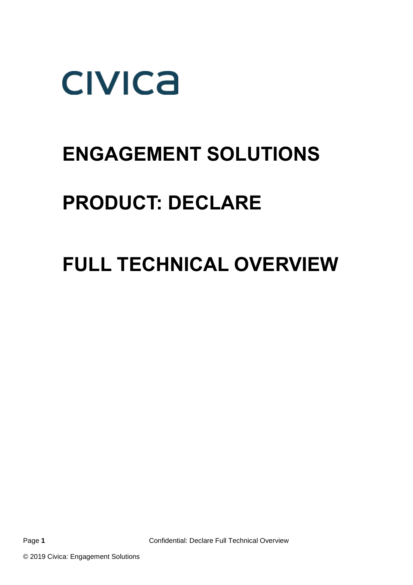

## **ENGAGEMENT SOLUTIONS**

## **PRODUCT: DECLARE**

## **FULL TECHNICAL OVERVIEW**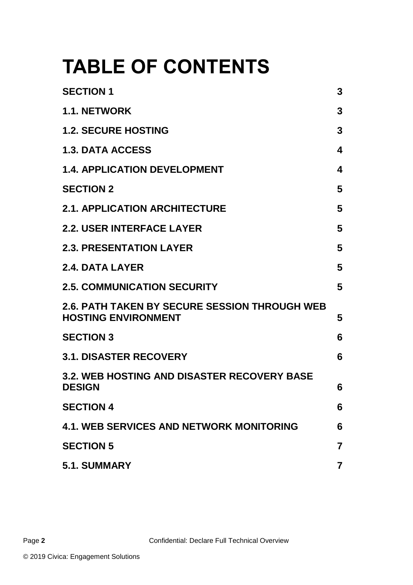# **TABLE OF CONTENTS**

<span id="page-1-0"></span>

| <b>SECTION 1</b>                                                                   | 3                       |
|------------------------------------------------------------------------------------|-------------------------|
| <b>1.1. NETWORK</b>                                                                | 3                       |
| <b>1.2. SECURE HOSTING</b>                                                         | 3                       |
| <b>1.3. DATA ACCESS</b>                                                            | 4                       |
| <b>1.4. APPLICATION DEVELOPMENT</b>                                                | 4                       |
| <b>SECTION 2</b>                                                                   | 5                       |
| <b>2.1. APPLICATION ARCHITECTURE</b>                                               | 5                       |
| <b>2.2. USER INTERFACE LAYER</b>                                                   | 5                       |
| <b>2.3. PRESENTATION LAYER</b>                                                     | 5                       |
| <b>2.4. DATA LAYER</b>                                                             | 5                       |
| <b>2.5. COMMUNICATION SECURITY</b>                                                 | 5                       |
| <b>2.6. PATH TAKEN BY SECURE SESSION THROUGH WEB</b><br><b>HOSTING ENVIRONMENT</b> | 5                       |
| <b>SECTION 3</b>                                                                   | 6                       |
| <b>3.1. DISASTER RECOVERY</b>                                                      | 6                       |
| <b>3.2. WEB HOSTING AND DISASTER RECOVERY BASE</b><br><b>DESIGN</b>                | 6                       |
| <b>SECTION 4</b>                                                                   | 6                       |
| <b>4.1. WEB SERVICES AND NETWORK MONITORING</b>                                    | 6                       |
| <b>SECTION 5</b>                                                                   | $\overline{\mathbf{z}}$ |
| 5.1. SUMMARY                                                                       | $\overline{7}$          |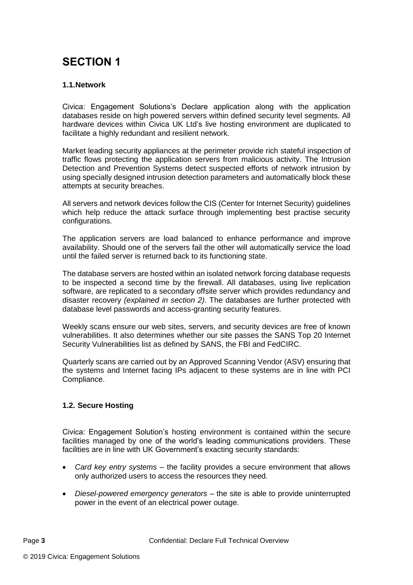## **SECTION 1**

#### <span id="page-2-0"></span>**1.1.Network**

Civica: Engagement Solutions's Declare application along with the application databases reside on high powered servers within defined security level segments. All hardware devices within Civica UK Ltd's live hosting environment are duplicated to facilitate a highly redundant and resilient network.

Market leading security appliances at the perimeter provide rich stateful inspection of traffic flows protecting the application servers from malicious activity. The Intrusion Detection and Prevention Systems detect suspected efforts of network intrusion by using specially designed intrusion detection parameters and automatically block these attempts at security breaches.

All servers and network devices follow the CIS (Center for Internet Security) guidelines which help reduce the attack surface through implementing best practise security configurations.

The application servers are load balanced to enhance performance and improve availability. Should one of the servers fail the other will automatically service the load until the failed server is returned back to its functioning state.

The database servers are hosted within an isolated network forcing database requests to be inspected a second time by the firewall. All databases, using live replication software, are replicated to a secondary offsite server which provides redundancy and disaster recovery *(explained in section 2)*. The databases are further protected with database level passwords and access-granting security features.

Weekly scans ensure our web sites, servers, and security devices are free of known vulnerabilities. It also determines whether our site passes the SANS Top 20 Internet Security Vulnerabilities list as defined by SANS, the FBI and FedCIRC.

Quarterly scans are carried out by an Approved Scanning Vendor (ASV) ensuring that the systems and Internet facing IPs adjacent to these systems are in line with PCI Compliance.

#### **1.2. Secure Hosting**

Civica: Engagement Solution's hosting environment is contained within the secure facilities managed by one of the world's leading communications providers. These facilities are in line with UK Government's exacting security standards:

- *Card key entry systems* the facility provides a secure environment that allows only authorized users to access the resources they need.
- *Diesel-powered emergency generators* the site is able to provide uninterrupted power in the event of an electrical power outage.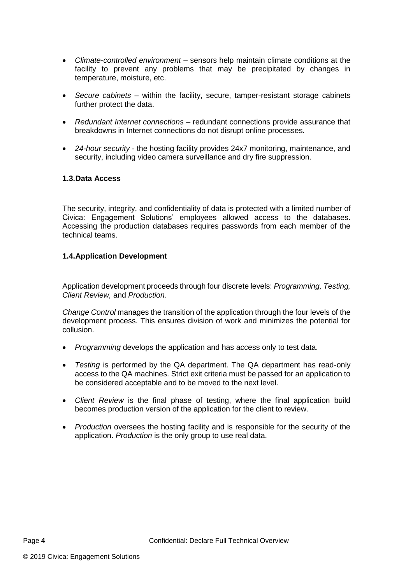- *Climate-controlled environment* sensors help maintain climate conditions at the facility to prevent any problems that may be precipitated by changes in temperature, moisture, etc.
- *Secure cabinets* within the facility, secure, tamper-resistant storage cabinets further protect the data.
- *Redundant Internet connections* redundant connections provide assurance that breakdowns in Internet connections do not disrupt online processes.
- *24-hour security* the hosting facility provides 24x7 monitoring, maintenance, and security, including video camera surveillance and dry fire suppression.

#### <span id="page-3-0"></span>**1.3.Data Access**

The security, integrity, and confidentiality of data is protected with a limited number of Civica: Engagement Solutions' employees allowed access to the databases. Accessing the production databases requires passwords from each member of the technical teams.

#### <span id="page-3-1"></span>**1.4.Application Development**

Application development proceeds through four discrete levels: *Programming, Testing, Client Review,* and *Production.* 

*Change Control* manages the transition of the application through the four levels of the development process. This ensures division of work and minimizes the potential for collusion.

- *Programming* develops the application and has access only to test data.
- *Testing* is performed by the QA department. The QA department has read-only access to the QA machines. Strict exit criteria must be passed for an application to be considered acceptable and to be moved to the next level.
- *Client Review* is the final phase of testing, where the final application build becomes production version of the application for the client to review.
- <span id="page-3-2"></span> *Production* oversees the hosting facility and is responsible for the security of the application. *Production* is the only group to use real data.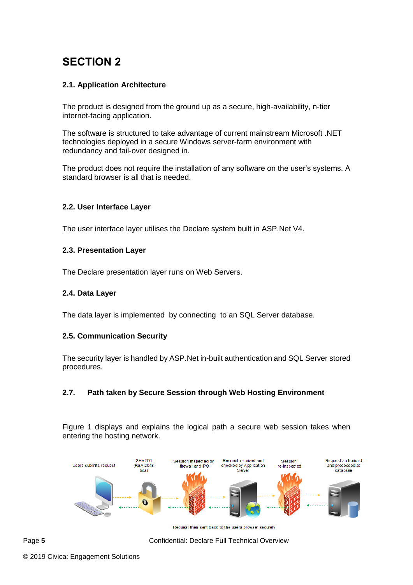### **SECTION 2**

#### <span id="page-4-0"></span>**2.1. Application Architecture**

The product is designed from the ground up as a secure, high-availability, n-tier internet-facing application.

The software is structured to take advantage of current mainstream Microsoft .NET technologies deployed in a secure Windows server-farm environment with redundancy and fail-over designed in.

The product does not require the installation of any software on the user's systems. A standard browser is all that is needed.

#### <span id="page-4-1"></span>**2.2. User Interface Layer**

<span id="page-4-2"></span>The user interface layer utilises the Declare system built in ASP.Net V4.

#### **2.3. Presentation Layer**

The Declare presentation layer runs on Web Servers.

#### **2.4. Data Layer**

<span id="page-4-3"></span>The data layer is implemented by connecting to an SQL Server database.

#### **2.5. Communication Security**

The security layer is handled by ASP.Net in-built authentication and SQL Server stored procedures.

#### <span id="page-4-4"></span>**2.7. Path taken by Secure Session through Web Hosting Environment**

Figure 1 displays and explains the logical path a secure web session takes when entering the hosting network.



Request then sent back to the users browser securely

Page 5 **5** Confidential: Declare Full Technical Overview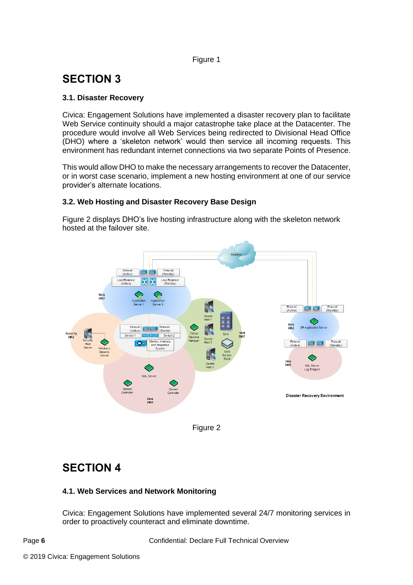#### Figure 1

## <span id="page-5-0"></span>**SECTION 3**

#### <span id="page-5-1"></span>**3.1. Disaster Recovery**

Civica: Engagement Solutions have implemented a disaster recovery plan to facilitate Web Service continuity should a major catastrophe take place at the Datacenter. The procedure would involve all Web Services being redirected to Divisional Head Office (DHO) where a 'skeleton network' would then service all incoming requests. This environment has redundant internet connections via two separate Points of Presence.

This would allow DHO to make the necessary arrangements to recover the Datacenter, or in worst case scenario, implement a new hosting environment at one of our service provider's alternate locations.

#### <span id="page-5-2"></span>**3.2. Web Hosting and Disaster Recovery Base Design**

Figure 2 displays DHO's live hosting infrastructure along with the skeleton network hosted at the failover site.





### <span id="page-5-3"></span>**SECTION 4**

#### <span id="page-5-4"></span>**4.1. Web Services and Network Monitoring**

Civica: Engagement Solutions have implemented several 24/7 monitoring services in order to proactively counteract and eliminate downtime.